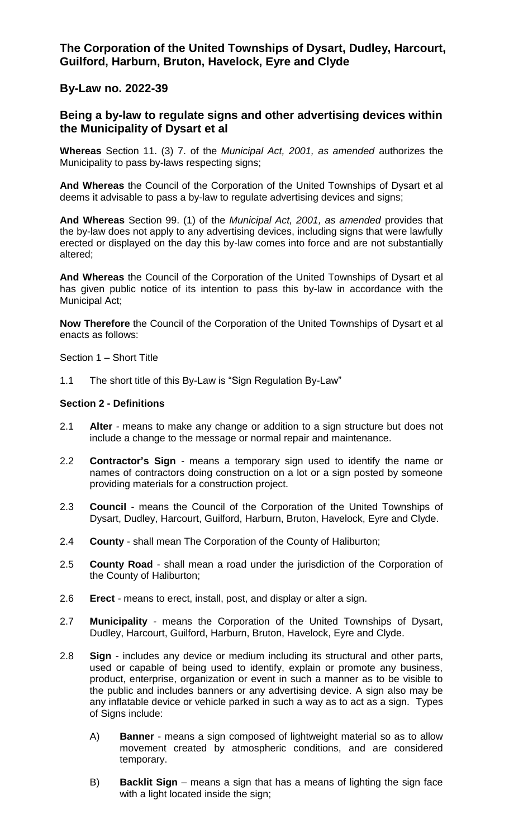**The Corporation of the United Townships of Dysart, Dudley, Harcourt, Guilford, Harburn, Bruton, Havelock, Eyre and Clyde**

**By-Law no. 2022-39**

# **Being a by-law to regulate signs and other advertising devices within the Municipality of Dysart et al**

**Whereas** Section 11. (3) 7. of the *Municipal Act, 2001, as amended* authorizes the Municipality to pass by-laws respecting signs;

**And Whereas** the Council of the Corporation of the United Townships of Dysart et al deems it advisable to pass a by-law to regulate advertising devices and signs;

**And Whereas** Section 99. (1) of the *Municipal Act, 2001, as amended* provides that the by-law does not apply to any advertising devices, including signs that were lawfully erected or displayed on the day this by-law comes into force and are not substantially altered;

**And Whereas** the Council of the Corporation of the United Townships of Dysart et al has given public notice of its intention to pass this by-law in accordance with the Municipal Act;

**Now Therefore** the Council of the Corporation of the United Townships of Dysart et al enacts as follows:

Section 1 – Short Title

1.1 The short title of this By-Law is "Sign Regulation By-Law"

#### **Section 2 - Definitions**

- 2.1 **Alter** *-* means to make any change or addition to a sign structure but does not include a change to the message or normal repair and maintenance.
- 2.2 **Contractor's Sign** *-* means a temporary sign used to identify the name or names of contractors doing construction on a lot or a sign posted by someone providing materials for a construction project.
- 2.3 **Council** *-* means the Council of the Corporation of the United Townships of Dysart, Dudley, Harcourt, Guilford, Harburn, Bruton, Havelock, Eyre and Clyde.
- 2.4 **County** shall mean The Corporation of the County of Haliburton;
- 2.5 **County Road** shall mean a road under the jurisdiction of the Corporation of the County of Haliburton;
- 2.6 **Erect** *-* means to erect, install, post, and display or alter a sign.
- 2.7 **Municipality** *-* means the Corporation of the United Townships of Dysart, Dudley, Harcourt, Guilford, Harburn, Bruton, Havelock, Eyre and Clyde.
- 2.8 **Sign** *-* includes any device or medium including its structural and other parts, used or capable of being used to identify, explain or promote any business, product, enterprise, organization or event in such a manner as to be visible to the public and includes banners or any advertising device. A sign also may be any inflatable device or vehicle parked in such a way as to act as a sign. Types of Signs include:
	- A) **Banner**  means a sign composed of lightweight material so as to allow movement created by atmospheric conditions, and are considered temporary.
	- B) **Backlit Sign** means a sign that has a means of lighting the sign face with a light located inside the sign;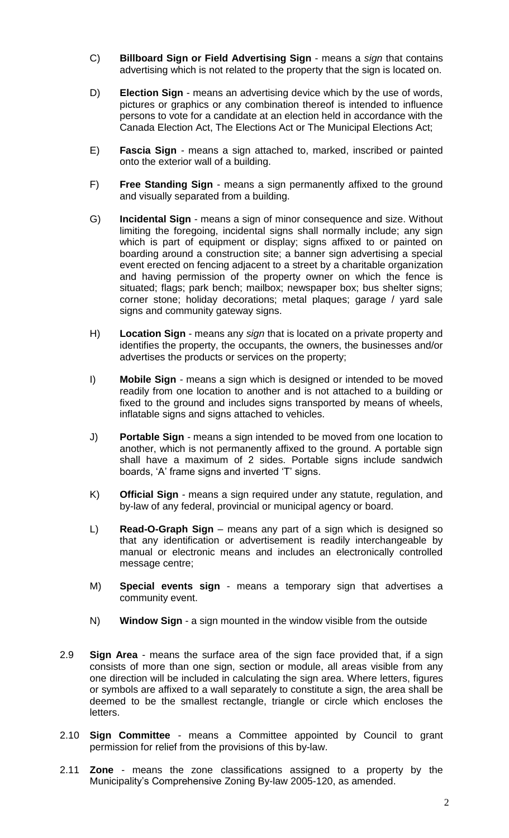- C) **Billboard Sign or Field Advertising Sign** means a *sign* that contains advertising which is not related to the property that the sign is located on.
- D) **Election Sign** means an advertising device which by the use of words, pictures or graphics or any combination thereof is intended to influence persons to vote for a candidate at an election held in accordance with the Canada Election Act, The Elections Act or The Municipal Elections Act;
- E) **Fascia Sign** *-* means a sign attached to, marked, inscribed or painted onto the exterior wall of a building.
- F) **Free Standing Sign** means a sign permanently affixed to the ground and visually separated from a building.
- G) **Incidental Sign** means a sign of minor consequence and size. Without limiting the foregoing, incidental signs shall normally include; any sign which is part of equipment or display; signs affixed to or painted on boarding around a construction site; a banner sign advertising a special event erected on fencing adjacent to a street by a charitable organization and having permission of the property owner on which the fence is situated; flags; park bench; mailbox; newspaper box; bus shelter signs; corner stone; holiday decorations; metal plaques; garage / yard sale signs and community gateway signs.
- H) **Location Sign** means any *sign* that is located on a private property and identifies the property, the occupants, the owners, the businesses and/or advertises the products or services on the property;
- I) **Mobile Sign** *-* means a sign which is designed or intended to be moved readily from one location to another and is not attached to a building or fixed to the ground and includes signs transported by means of wheels, inflatable signs and signs attached to vehicles.
- J) **Portable Sign** *-* means a sign intended to be moved from one location to another, which is not permanently affixed to the ground. A portable sign shall have a maximum of 2 sides. Portable signs include sandwich boards, 'A' frame signs and inverted 'T' signs.
- K) **Official Sign** *-* means a sign required under any statute, regulation, and by-law of any federal, provincial or municipal agency or board.
- L) **Read-O-Graph Sign** means any part of a sign which is designed so that any identification or advertisement is readily interchangeable by manual or electronic means and includes an electronically controlled message centre;
- M) **Special events sign** means a temporary sign that advertises a community event.
- N) **Window Sign** a sign mounted in the window visible from the outside
- 2.9 **Sign Area** means the surface area of the sign face provided that, if a sign consists of more than one sign, section or module, all areas visible from any one direction will be included in calculating the sign area. Where letters, figures or symbols are affixed to a wall separately to constitute a sign, the area shall be deemed to be the smallest rectangle, triangle or circle which encloses the letters.
- 2.10 **Sign Committee** *-* means a Committee appointed by Council to grant permission for relief from the provisions of this by-law.
- 2.11 **Zone** *-* means the zone classifications assigned to a property by the Municipality's Comprehensive Zoning By-law 2005-120, as amended.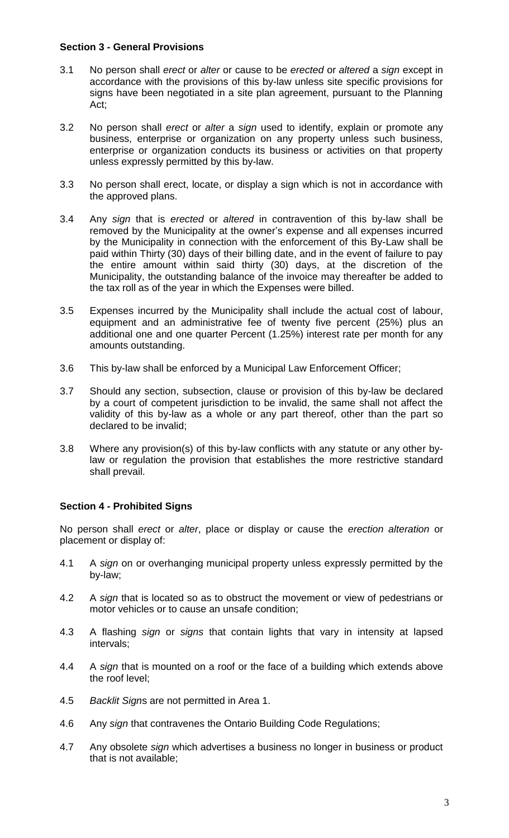## **Section 3 - General Provisions**

- 3.1 No person shall *erect* or *alter* or cause to be *erected* or *altered* a *sign* except in accordance with the provisions of this by-law unless site specific provisions for signs have been negotiated in a site plan agreement, pursuant to the Planning Act;
- 3.2 No person shall *erect* or *alter* a *sign* used to identify, explain or promote any business, enterprise or organization on any property unless such business, enterprise or organization conducts its business or activities on that property unless expressly permitted by this by-law.
- 3.3 No person shall erect, locate, or display a sign which is not in accordance with the approved plans.
- 3.4 Any *sign* that is *erected* or *altered* in contravention of this by-law shall be removed by the Municipality at the owner's expense and all expenses incurred by the Municipality in connection with the enforcement of this By-Law shall be paid within Thirty (30) days of their billing date, and in the event of failure to pay the entire amount within said thirty (30) days, at the discretion of the Municipality, the outstanding balance of the invoice may thereafter be added to the tax roll as of the year in which the Expenses were billed.
- 3.5 Expenses incurred by the Municipality shall include the actual cost of labour, equipment and an administrative fee of twenty five percent (25%) plus an additional one and one quarter Percent (1.25%) interest rate per month for any amounts outstanding.
- 3.6 This by-law shall be enforced by a Municipal Law Enforcement Officer;
- 3.7 Should any section, subsection, clause or provision of this by-law be declared by a court of competent jurisdiction to be invalid, the same shall not affect the validity of this by-law as a whole or any part thereof, other than the part so declared to be invalid;
- 3.8 Where any provision(s) of this by-law conflicts with any statute or any other bylaw or regulation the provision that establishes the more restrictive standard shall prevail.

## **Section 4 - Prohibited Signs**

No person shall *erect* or *alter*, place or display or cause the *erection alteration* or placement or display of:

- 4.1 A *sign* on or overhanging municipal property unless expressly permitted by the by-law;
- 4.2 A *sign* that is located so as to obstruct the movement or view of pedestrians or motor vehicles or to cause an unsafe condition;
- 4.3 A flashing *sign* or *signs* that contain lights that vary in intensity at lapsed intervals;
- 4.4 A *sign* that is mounted on a roof or the face of a building which extends above the roof level;
- 4.5 *Backlit Sign*s are not permitted in Area 1.
- 4.6 Any *sign* that contravenes the Ontario Building Code Regulations;
- 4.7 Any obsolete *sign* which advertises a business no longer in business or product that is not available;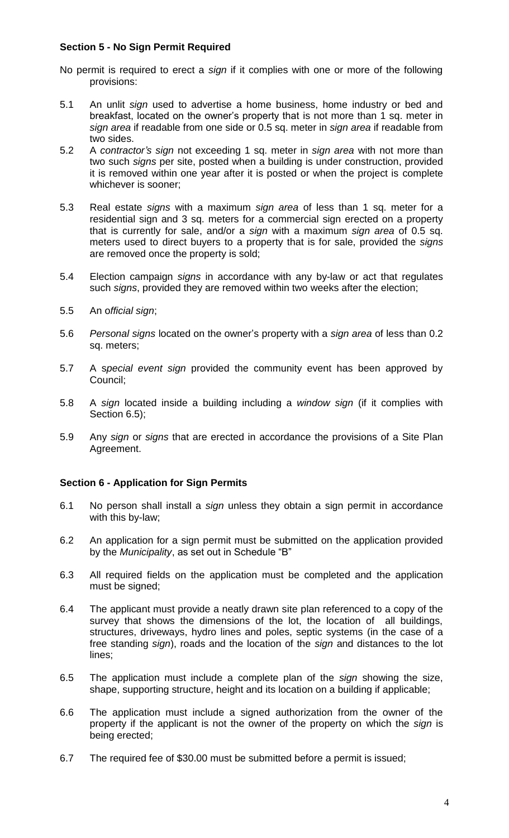# **Section 5 - No Sign Permit Required**

- No permit is required to erect a *sign* if it complies with one or more of the following provisions:
- 5.1 An unlit *sign* used to advertise a home business, home industry or bed and breakfast, located on the owner's property that is not more than 1 sq. meter in *sign area* if readable from one side or 0.5 sq. meter in *sign area* if readable from two sides.
- 5.2 A *contractor's sign* not exceeding 1 sq. meter in *sign area* with not more than two such *signs* per site, posted when a building is under construction, provided it is removed within one year after it is posted or when the project is complete whichever is sooner;
- 5.3 Real estate *signs* with a maximum *sign area* of less than 1 sq. meter for a residential sign and 3 sq. meters for a commercial sign erected on a property that is currently for sale, and/or a *sign* with a maximum *sign area* of 0.5 sq. meters used to direct buyers to a property that is for sale, provided the *signs* are removed once the property is sold;
- 5.4 Election campaign *signs* in accordance with any by-law or act that regulates such *signs*, provided they are removed within two weeks after the election;
- 5.5 An o*fficial sign*;
- 5.6 *Personal signs* located on the owner's property with a *sign area* of less than 0.2 sq. meters;
- 5.7 A s*pecial event sign* provided the community event has been approved by Council;
- 5.8 A *sign* located inside a building including a *window sign* (if it complies with Section 6.5);
- 5.9 Any *sign* or *signs* that are erected in accordance the provisions of a Site Plan Agreement.

## **Section 6 - Application for Sign Permits**

- 6.1 No person shall install a *sign* unless they obtain a sign permit in accordance with this by-law;
- 6.2 An application for a sign permit must be submitted on the application provided by the *Municipality*, as set out in Schedule "B"
- 6.3 All required fields on the application must be completed and the application must be signed;
- 6.4 The applicant must provide a neatly drawn site plan referenced to a copy of the survey that shows the dimensions of the lot, the location of all buildings, structures, driveways, hydro lines and poles, septic systems (in the case of a free standing *sign*), roads and the location of the *sign* and distances to the lot lines;
- 6.5 The application must include a complete plan of the *sign* showing the size, shape, supporting structure, height and its location on a building if applicable;
- 6.6 The application must include a signed authorization from the owner of the property if the applicant is not the owner of the property on which the *sign* is being erected;
- 6.7 The required fee of \$30.00 must be submitted before a permit is issued;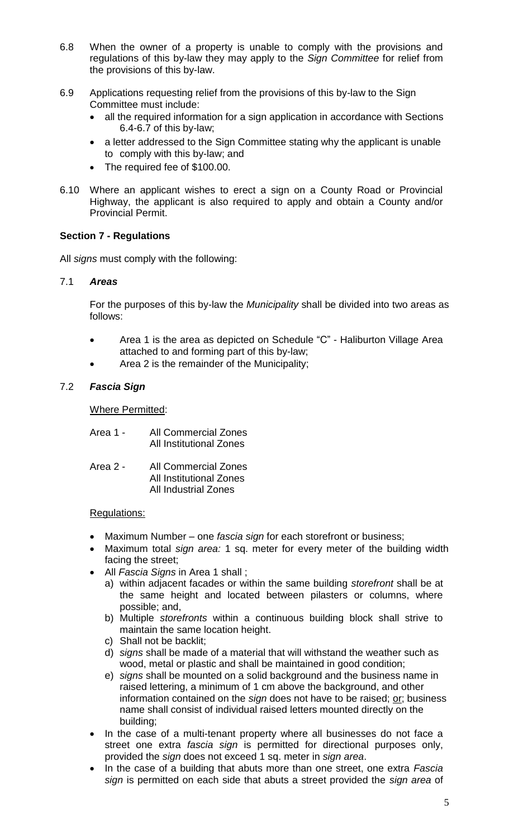- 6.8 When the owner of a property is unable to comply with the provisions and regulations of this by-law they may apply to the *Sign Committee* for relief from the provisions of this by-law.
- 6.9 Applications requesting relief from the provisions of this by-law to the Sign Committee must include:
	- all the required information for a sign application in accordance with Sections 6.4-6.7 of this by-law;
	- a letter addressed to the Sign Committee stating why the applicant is unable to comply with this by-law; and
	- The required fee of \$100.00.
- 6.10 Where an applicant wishes to erect a sign on a County Road or Provincial Highway, the applicant is also required to apply and obtain a County and/or Provincial Permit.

# **Section 7 - Regulations**

All *signs* must comply with the following:

## 7.1 *Areas*

For the purposes of this by-law the *Municipality* shall be divided into two areas as follows:

- Area 1 is the area as depicted on Schedule "C" Haliburton Village Area attached to and forming part of this by-law;
- Area 2 is the remainder of the Municipality;

## 7.2 *Fascia Sign*

Where Permitted:

| Area 1 - | <b>All Commercial Zones</b>    |
|----------|--------------------------------|
|          | <b>All Institutional Zones</b> |

| Area 2 - | <b>All Commercial Zones</b>    |
|----------|--------------------------------|
|          | <b>All Institutional Zones</b> |
|          | <b>All Industrial Zones</b>    |

## Regulations:

- Maximum Number one *fascia sign* for each storefront or business;
- Maximum total *sign area:* 1 sq. meter for every meter of the building width facing the street;
- All *Fascia Signs* in Area 1 shall ;
	- a) within adjacent facades or within the same building *storefront* shall be at the same height and located between pilasters or columns, where possible; and,
	- b) Multiple *storefronts* within a continuous building block shall strive to maintain the same location height.
	- c) Shall not be backlit;
	- d) *signs* shall be made of a material that will withstand the weather such as wood, metal or plastic and shall be maintained in good condition;
	- e) *signs* shall be mounted on a solid background and the business name in raised lettering, a minimum of 1 cm above the background, and other information contained on the *sign* does not have to be raised; or; business name shall consist of individual raised letters mounted directly on the building;
- In the case of a multi-tenant property where all businesses do not face a street one extra *fascia sign* is permitted for directional purposes only, provided the *sign* does not exceed 1 sq. meter in *sign area*.
- In the case of a building that abuts more than one street, one extra *Fascia sign* is permitted on each side that abuts a street provided the *sign area* of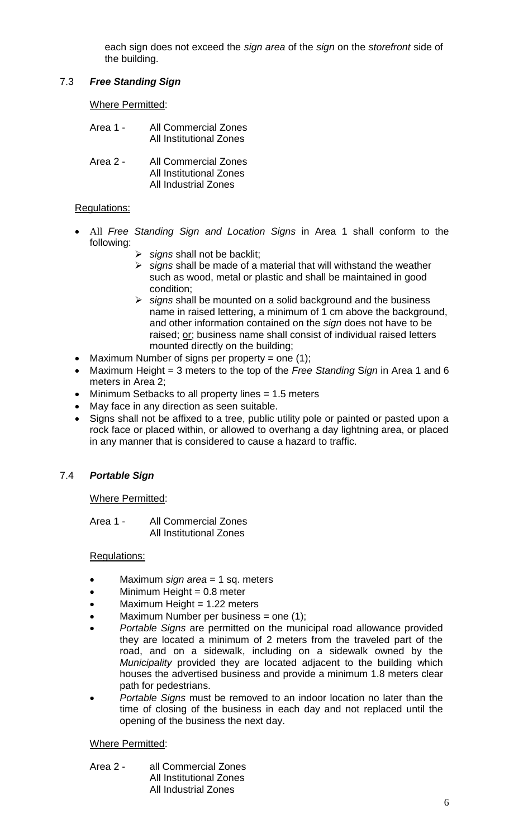each sign does not exceed the *sign area* of the *sign* on the *storefront* side of the building.

# 7.3 *Free Standing Sign*

Where Permitted:

- Area 1 All Commercial Zones All Institutional Zones
- Area 2 All Commercial Zones All Institutional Zones All Industrial Zones

## Regulations:

- All *Free Standing Sign and Location Signs* in Area 1 shall conform to the following:
	- *signs* shall not be backlit;
		- *signs* shall be made of a material that will withstand the weather such as wood, metal or plastic and shall be maintained in good condition;
		- *signs* shall be mounted on a solid background and the business name in raised lettering, a minimum of 1 cm above the background, and other information contained on the *sign* does not have to be raised; or; business name shall consist of individual raised letters mounted directly on the building;
- Maximum Number of signs per property = one  $(1)$ ;
- Maximum Height = 3 meters to the top of the *Free Standing* S*ign* in Area 1 and 6 meters in Area 2;
- Minimum Setbacks to all property lines = 1.5 meters
- May face in any direction as seen suitable.
- Signs shall not be affixed to a tree, public utility pole or painted or pasted upon a rock face or placed within, or allowed to overhang a day lightning area, or placed in any manner that is considered to cause a hazard to traffic.

# 7.4 *Portable Sign*

## Where Permitted:

Area 1 - All Commercial Zones All Institutional Zones

## Regulations:

- Maximum *sign area* = 1 sq. meters
- Minimum Height = 0.8 meter
- Maximum Height = 1.22 meters
- Maximum Number per business = one  $(1)$ ;
- *Portable Signs* are permitted on the municipal road allowance provided they are located a minimum of 2 meters from the traveled part of the road, and on a sidewalk, including on a sidewalk owned by the *Municipality* provided they are located adjacent to the building which houses the advertised business and provide a minimum 1.8 meters clear path for pedestrians.
- *Portable Signs* must be removed to an indoor location no later than the time of closing of the business in each day and not replaced until the opening of the business the next day.

## Where Permitted:

Area 2 - all Commercial Zones All Institutional Zones All Industrial Zones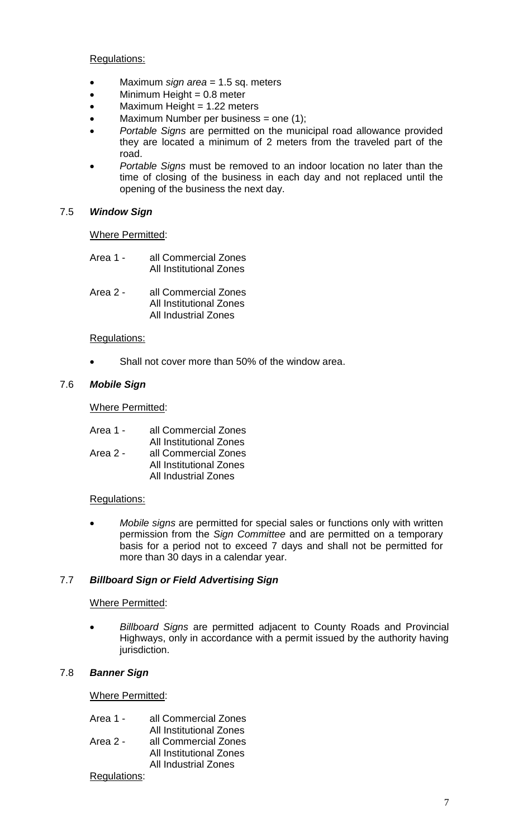Regulations:

- Maximum *sign area* = 1.5 sq. meters
- $\bullet$  Minimum Height = 0.8 meter
- $\bullet$  Maximum Height = 1.22 meters
- $\bullet$  Maximum Number per business = one (1);
- *Portable Signs* are permitted on the municipal road allowance provided they are located a minimum of 2 meters from the traveled part of the road.
- *Portable Signs* must be removed to an indoor location no later than the time of closing of the business in each day and not replaced until the opening of the business the next day.

#### 7.5 *Window Sign*

Where Permitted:

- Area 1 all Commercial Zones All Institutional Zones
- Area 2 all Commercial Zones All Institutional Zones All Industrial Zones

#### Regulations:

Shall not cover more than 50% of the window area.

#### 7.6 *Mobile Sign*

#### Where Permitted:

| all Commercial Zones        |
|-----------------------------|
| All Institutional Zones     |
| all Commercial Zones        |
| All Institutional Zones     |
| <b>All Industrial Zones</b> |
|                             |

#### Regulations:

 *Mobile signs* are permitted for special sales or functions only with written permission from the *Sign Committee* and are permitted on a temporary basis for a period not to exceed 7 days and shall not be permitted for more than 30 days in a calendar year.

# 7.7 *Billboard Sign or Field Advertising Sign*

#### Where Permitted:

 *Billboard Signs* are permitted adjacent to County Roads and Provincial Highways, only in accordance with a permit issued by the authority having jurisdiction.

#### 7.8 *Banner Sign*

Where Permitted:

| Area 1 -      | all Commercial Zones           |
|---------------|--------------------------------|
|               | <b>All Institutional Zones</b> |
| Area 2 -      | all Commercial Zones           |
|               | All Institutional Zones        |
|               | <b>All Industrial Zones</b>    |
| Pequilations: |                                |

Regulations: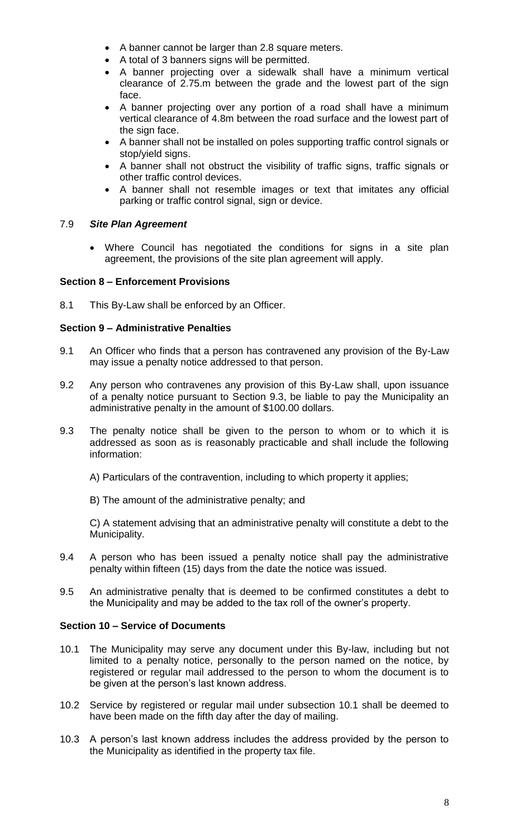- A banner cannot be larger than 2.8 square meters.
- A total of 3 banners signs will be permitted.
- A banner projecting over a sidewalk shall have a minimum vertical clearance of 2.75.m between the grade and the lowest part of the sign face.
- A banner projecting over any portion of a road shall have a minimum vertical clearance of 4.8m between the road surface and the lowest part of the sign face.
- A banner shall not be installed on poles supporting traffic control signals or stop/yield signs.
- A banner shall not obstruct the visibility of traffic signs, traffic signals or other traffic control devices.
- A banner shall not resemble images or text that imitates any official parking or traffic control signal, sign or device.

# 7.9 *Site Plan Agreement*

 Where Council has negotiated the conditions for signs in a site plan agreement, the provisions of the site plan agreement will apply.

# **Section 8 – Enforcement Provisions**

8.1 This By-Law shall be enforced by an Officer.

# **Section 9 – Administrative Penalties**

- 9.1 An Officer who finds that a person has contravened any provision of the By-Law may issue a penalty notice addressed to that person.
- 9.2 Any person who contravenes any provision of this By-Law shall, upon issuance of a penalty notice pursuant to Section 9.3, be liable to pay the Municipality an administrative penalty in the amount of \$100.00 dollars.
- 9.3 The penalty notice shall be given to the person to whom or to which it is addressed as soon as is reasonably practicable and shall include the following information:
	- A) Particulars of the contravention, including to which property it applies;
	- B) The amount of the administrative penalty; and

C) A statement advising that an administrative penalty will constitute a debt to the Municipality.

- 9.4 A person who has been issued a penalty notice shall pay the administrative penalty within fifteen (15) days from the date the notice was issued.
- 9.5 An administrative penalty that is deemed to be confirmed constitutes a debt to the Municipality and may be added to the tax roll of the owner's property.

## **Section 10 – Service of Documents**

- 10.1 The Municipality may serve any document under this By-law, including but not limited to a penalty notice, personally to the person named on the notice, by registered or regular mail addressed to the person to whom the document is to be given at the person's last known address.
- 10.2 Service by registered or regular mail under subsection 10.1 shall be deemed to have been made on the fifth day after the day of mailing.
- 10.3 A person's last known address includes the address provided by the person to the Municipality as identified in the property tax file.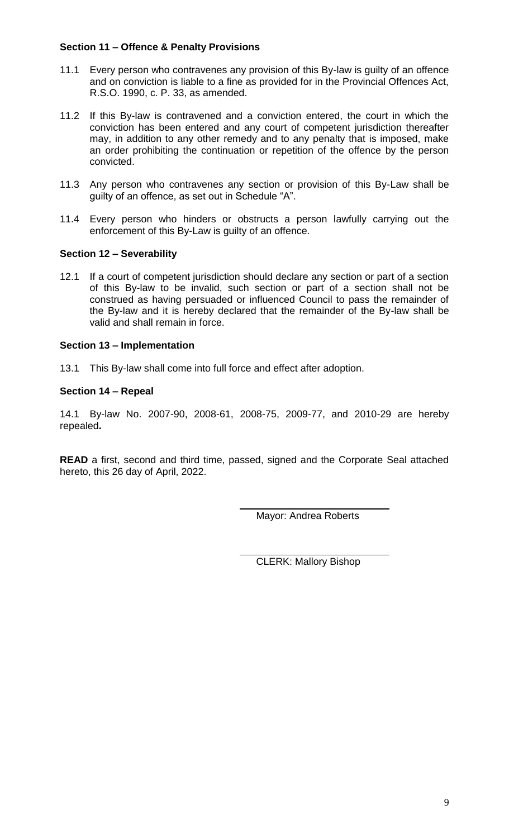# **Section 11 – Offence & Penalty Provisions**

- 11.1 Every person who contravenes any provision of this By-law is guilty of an offence and on conviction is liable to a fine as provided for in the Provincial Offences Act, R.S.O. 1990, c. P. 33, as amended.
- 11.2 If this By-law is contravened and a conviction entered, the court in which the conviction has been entered and any court of competent jurisdiction thereafter may, in addition to any other remedy and to any penalty that is imposed, make an order prohibiting the continuation or repetition of the offence by the person convicted.
- 11.3 Any person who contravenes any section or provision of this By-Law shall be guilty of an offence, as set out in Schedule "A".
- 11.4 Every person who hinders or obstructs a person lawfully carrying out the enforcement of this By-Law is guilty of an offence.

## **Section 12 – Severability**

12.1 If a court of competent jurisdiction should declare any section or part of a section of this By-law to be invalid, such section or part of a section shall not be construed as having persuaded or influenced Council to pass the remainder of the By-law and it is hereby declared that the remainder of the By-law shall be valid and shall remain in force.

## **Section 13 – Implementation**

13.1 This By-law shall come into full force and effect after adoption.

# **Section 14 – Repeal**

14.1 By-law No. 2007-90, 2008-61, 2008-75, 2009-77, and 2010-29 are hereby repealed**.**

**READ** a first, second and third time, passed, signed and the Corporate Seal attached hereto, this 26 day of April, 2022.

Mayor: Andrea Roberts

CLERK: Mallory Bishop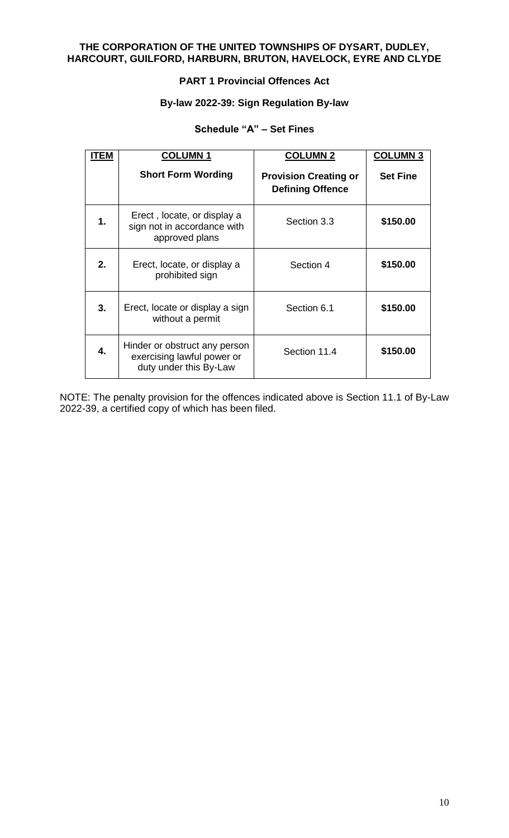# **THE CORPORATION OF THE UNITED TOWNSHIPS OF DYSART, DUDLEY, HARCOURT, GUILFORD, HARBURN, BRUTON, HAVELOCK, EYRE AND CLYDE**

# **PART 1 Provincial Offences Act**

## **By-law 2022-39: Sign Regulation By-law**

# **Schedule "A" – Set Fines**

| ITEM | <b>COLUMN1</b>                                                                        | <b>COLUMN 2</b>                                         | <b>COLUMN 3</b> |
|------|---------------------------------------------------------------------------------------|---------------------------------------------------------|-----------------|
|      | <b>Short Form Wording</b>                                                             | <b>Provision Creating or</b><br><b>Defining Offence</b> | <b>Set Fine</b> |
| 1.   | Erect, locate, or display a<br>sign not in accordance with<br>approved plans          | Section 3.3                                             | \$150.00        |
| 2.   | Erect, locate, or display a<br>prohibited sign                                        | Section 4                                               | \$150.00        |
| 3.   | Erect, locate or display a sign<br>without a permit                                   | Section 6.1                                             | \$150.00        |
| 4.   | Hinder or obstruct any person<br>exercising lawful power or<br>duty under this By-Law | Section 11.4                                            | \$150.00        |

NOTE: The penalty provision for the offences indicated above is Section 11.1 of By-Law 2022-39, a certified copy of which has been filed.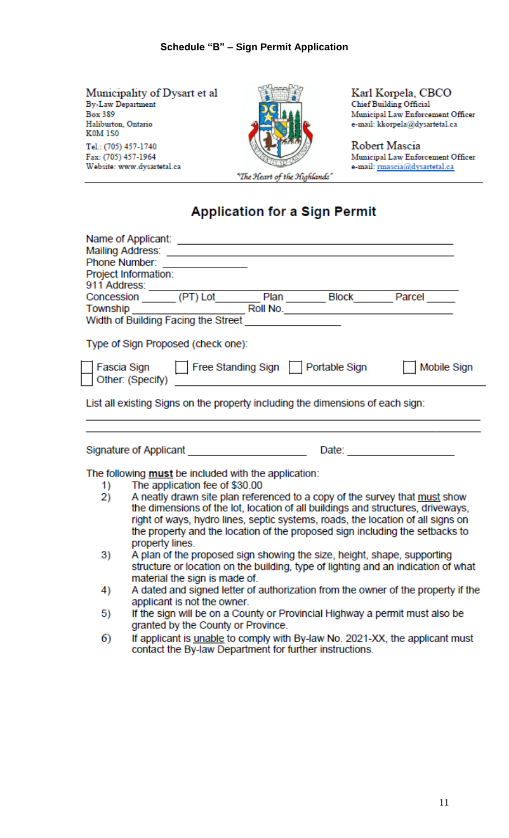Municipality of Dysart et al **By-Law Department Box 389** Haliburton, Ontario **K0M 1S0** Tel.: (705) 457-1740 Fax: (705) 457-1964 Website: www.dysartetal.ca



Karl Korpela, CBCO Chief Building Official Municipal Law Enforcement Officer

e-mail: kkorpela@dysartetal.ca

Robert Mascia Municipal Law Enforcement Officer e-mail: mascia@dysartetal.ca

# **Application for a Sign Permit**

|                                                                                | Phone Number: _______________<br>Project Information:                                                                                                                                                                            |  |  |
|--------------------------------------------------------------------------------|----------------------------------------------------------------------------------------------------------------------------------------------------------------------------------------------------------------------------------|--|--|
|                                                                                |                                                                                                                                                                                                                                  |  |  |
|                                                                                |                                                                                                                                                                                                                                  |  |  |
|                                                                                |                                                                                                                                                                                                                                  |  |  |
|                                                                                | Type of Sign Proposed (check one):                                                                                                                                                                                               |  |  |
|                                                                                | Fascia Sign Free Standing Sign Portable Sign<br>Mobile Sign                                                                                                                                                                      |  |  |
| List all existing Signs on the property including the dimensions of each sign: |                                                                                                                                                                                                                                  |  |  |
|                                                                                |                                                                                                                                                                                                                                  |  |  |
|                                                                                | Signature of Applicant <b>State Control Control</b><br>Date: $\qquad \qquad$                                                                                                                                                     |  |  |
|                                                                                | The following <b>must</b> be included with the application:                                                                                                                                                                      |  |  |
| 1)                                                                             | The application fee of \$30.00                                                                                                                                                                                                   |  |  |
| 2)                                                                             | A neatly drawn site plan referenced to a copy of the survey that must show                                                                                                                                                       |  |  |
|                                                                                | the dimensions of the lot, location of all buildings and structures, driveways,                                                                                                                                                  |  |  |
|                                                                                | right of ways, hydro lines, septic systems, roads, the location of all signs on                                                                                                                                                  |  |  |
|                                                                                | the property and the location of the proposed sign including the setbacks to                                                                                                                                                     |  |  |
|                                                                                | property lines.                                                                                                                                                                                                                  |  |  |
| 3)                                                                             | A plan of the proposed sign showing the size, height, shape, supporting                                                                                                                                                          |  |  |
|                                                                                | structure or location on the building, type of lighting and an indication of what                                                                                                                                                |  |  |
|                                                                                | material the sign is made of.<br>A dated and signed letter of authorization from the owner of the property if the                                                                                                                |  |  |
| 4)                                                                             | applicant is not the owner.                                                                                                                                                                                                      |  |  |
| 5)                                                                             | If the sign will be on a County or Provincial Highway a permit must also be                                                                                                                                                      |  |  |
|                                                                                | granted by the County or Province.                                                                                                                                                                                               |  |  |
| ∽                                                                              | $\mathbf{r}$ , and the state of the construction of the state of the state of the state of the state of the state of the state of the state of the state of the state of the state of the state of the state of the state of the |  |  |

If applicant is *unable* to comply with By-law No. 2021-XX, the applicant must 6) contact the By-law Department for further instructions.